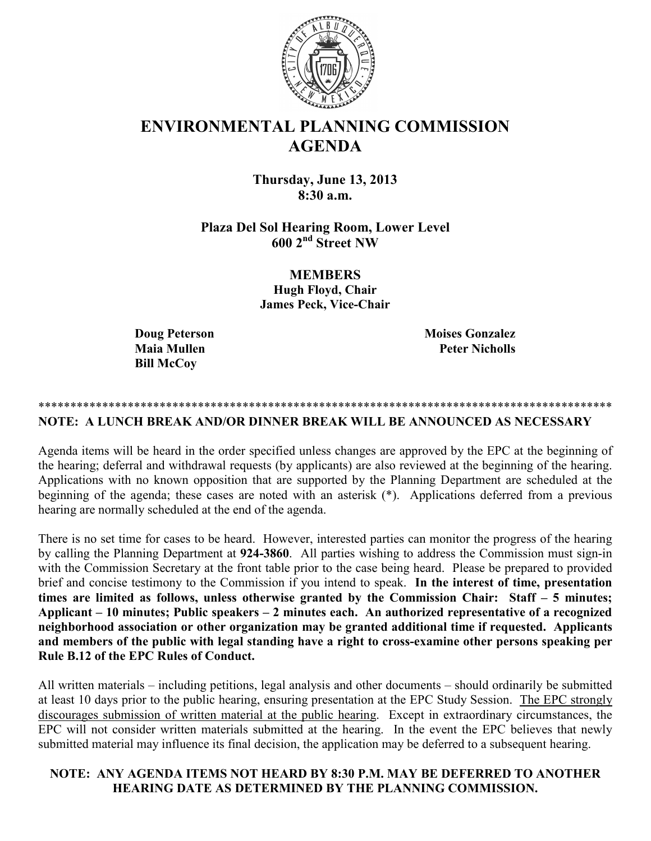

# **ENVIRONMENTAL PLANNING COMMISSION AGENDA**

**Thursday, June 13, 2013 8:30 a.m.** 

**Plaza Del Sol Hearing Room, Lower Level 600 2nd Street NW**

> **MEMBERS Hugh Floyd, Chair James Peck, Vice-Chair**

**Bill McCoy** 

**Doug Peterson Moises Gonzalez Maia Mullen Peter Nicholls** 

# \*\*\*\*\*\*\*\*\*\*\*\*\*\*\*\*\*\*\*\*\*\*\*\*\*\*\*\*\*\*\*\*\*\*\*\*\*\*\*\*\*\*\*\*\*\*\*\*\*\*\*\*\*\*\*\*\*\*\*\*\*\*\*\*\*\*\*\*\*\*\*\*\*\*\*\*\*\*\*\*\*\*\*\*\*\*\*\*\*\*

## **NOTE: A LUNCH BREAK AND/OR DINNER BREAK WILL BE ANNOUNCED AS NECESSARY**

Agenda items will be heard in the order specified unless changes are approved by the EPC at the beginning of the hearing; deferral and withdrawal requests (by applicants) are also reviewed at the beginning of the hearing. Applications with no known opposition that are supported by the Planning Department are scheduled at the beginning of the agenda; these cases are noted with an asterisk (\*). Applications deferred from a previous hearing are normally scheduled at the end of the agenda.

There is no set time for cases to be heard. However, interested parties can monitor the progress of the hearing by calling the Planning Department at **924-3860**. All parties wishing to address the Commission must sign-in with the Commission Secretary at the front table prior to the case being heard. Please be prepared to provided brief and concise testimony to the Commission if you intend to speak. **In the interest of time, presentation times are limited as follows, unless otherwise granted by the Commission Chair: Staff – 5 minutes; Applicant – 10 minutes; Public speakers – 2 minutes each. An authorized representative of a recognized neighborhood association or other organization may be granted additional time if requested. Applicants and members of the public with legal standing have a right to cross-examine other persons speaking per Rule B.12 of the EPC Rules of Conduct.** 

All written materials – including petitions, legal analysis and other documents – should ordinarily be submitted at least 10 days prior to the public hearing, ensuring presentation at the EPC Study Session. The EPC strongly discourages submission of written material at the public hearing. Except in extraordinary circumstances, the EPC will not consider written materials submitted at the hearing. In the event the EPC believes that newly submitted material may influence its final decision, the application may be deferred to a subsequent hearing.

# **NOTE: ANY AGENDA ITEMS NOT HEARD BY 8:30 P.M. MAY BE DEFERRED TO ANOTHER HEARING DATE AS DETERMINED BY THE PLANNING COMMISSION.**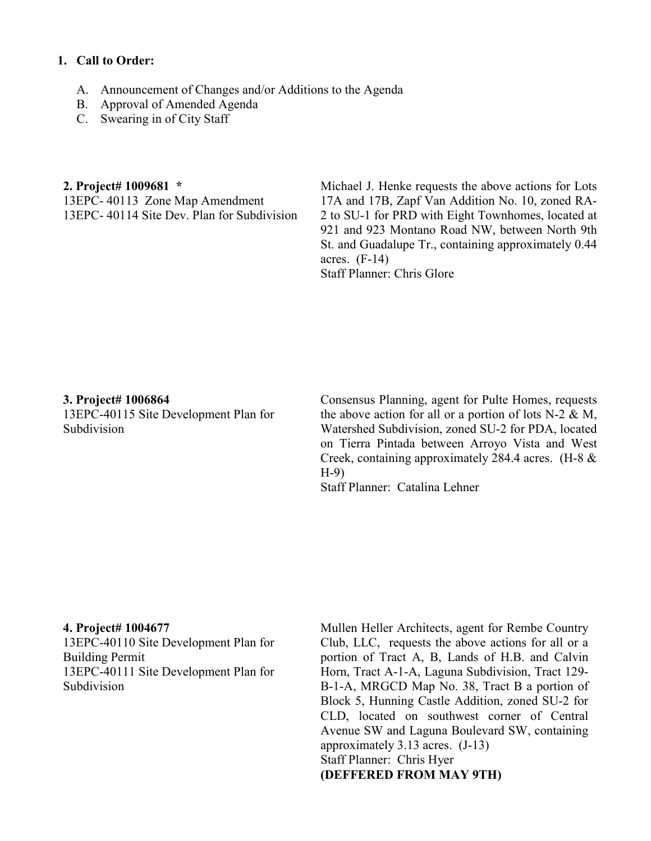### **1. Call to Order:**

- A. Announcement of Changes and/or Additions to the Agenda
- B. Approval of Amended Agenda
- C. Swearing in of City Staff

#### **2. Project# 1009681 \***

13EPC- 40113 Zone Map Amendment 13EPC- 40114 Site Dev. Plan for Subdivision Michael J. Henke requests the above actions for Lots 17A and 17B, Zapf Van Addition No. 10, zoned RA-2 to SU-1 for PRD with Eight Townhomes, located at 921 and 923 Montano Road NW, between North 9th St. and Guadalupe Tr., containing approximately 0.44 acres.  $(F-14)$ Staff Planner: Chris Glore

#### **3. Project# 1006864**

13EPC-40115 Site Development Plan for Subdivision

Consensus Planning, agent for Pulte Homes, requests the above action for all or a portion of lots  $N-2 \& M$ , Watershed Subdivision, zoned SU-2 for PDA, located on Tierra Pintada between Arroyo Vista and West Creek, containing approximately 284.4 acres. (H-8 & H-9)

Staff Planner: Catalina Lehner

#### **4. Project# 1004677**

13EPC-40110 Site Development Plan for Building Permit 13EPC-40111 Site Development Plan for Subdivision

Mullen Heller Architects, agent for Rembe Country Club, LLC, requests the above actions for all or a portion of Tract A, B, Lands of H.B. and Calvin Horn, Tract A-1-A, Laguna Subdivision, Tract 129- B-1-A, MRGCD Map No. 38, Tract B a portion of Block 5, Hunning Castle Addition, zoned SU-2 for CLD, located on southwest corner of Central Avenue SW and Laguna Boulevard SW, containing approximately 3.13 acres. (J-13) Staff Planner: Chris Hyer **(DEFFERED FROM MAY 9TH)**